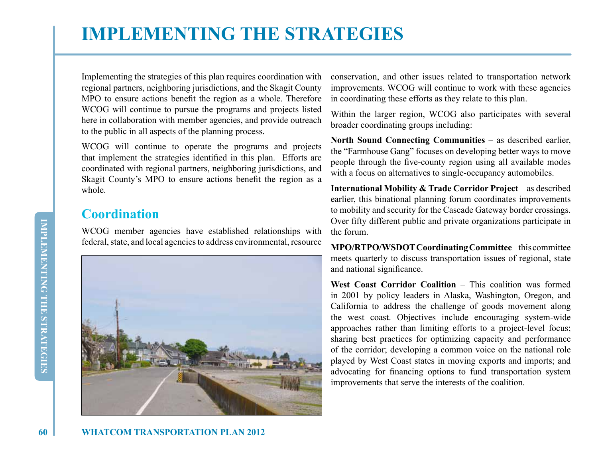# **IMPLEMENTING THE STRATEGIES**

Implementing the strategies of this plan requires coordination with regional partners, neighboring jurisdictions, and the Skagit County MPO to ensure actions benefit the region as a whole. Therefore WCOG will continue to pursue the programs and projects listed here in collaboration with member agencies, and provide outreach to the public in all aspects of the planning process.

WCOG will continue to operate the programs and projects that implement the strategies identified in this plan. Efforts are coordinated with regional partners, neighboring jurisdictions, and Skagit County's MPO to ensure actions benefit the region as a whole.

## **Coordination**

WCOG member agencies have established relationships with federal, state, and local agencies to address environmental, resource



conservation, and other issues related to transportation network improvements. WCOG will continue to work with these agencies in coordinating these efforts as they relate to this plan.

Within the larger region, WCOG also participates with several broader coordinating groups including:

**North Sound Connecting Communities** – as described earlier, the "Farmhouse Gang" focuses on developing better ways to move people through the five-county region using all available modes with a focus on alternatives to single-occupancy automobiles.

**International Mobility & Trade Corridor Project** – as described earlier, this binational planning forum coordinates improvements to mobility and security for the Cascade Gateway border crossings. Over fifty different public and private organizations participate in the forum.

**MPO/RTPO/WSDOT Coordinating Committee** – this committee meets quarterly to discuss transportation issues of regional, state and national significance.

West Coast Corridor Coalition – This coalition was formed in 2001 by policy leaders in Alaska, Washington, Oregon, and California to address the challenge of goods movement along the west coast. Objectives include encouraging system-wide approaches rather than limiting efforts to a project-level focus; sharing best practices for optimizing capacity and performance of the corridor; developing a common voice on the national role played by West Coast states in moving exports and imports; and advocating for financing options to fund transportation system improvements that serve the interests of the coalition.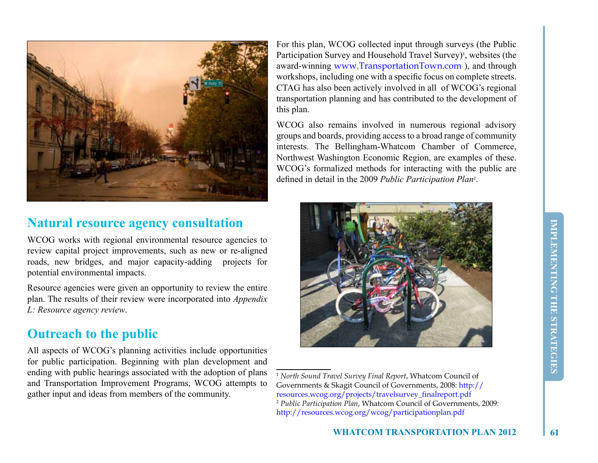

### **Natural resource agency consultation**

WCOG works with regional environmental resource agencies to review capital project improvements, such as new or re-aligned roads, new bridges, and major capacity-adding projects for potential environmental impacts.

Resource agencies were given an opportunity to review the entire plan. The results of their review were incorporated into *Appendix L: Resource agency review*.

## **Outreach to the public**

All aspects of WCOG's planning activities include opportunities for public participation. Beginning with plan development and ending with public hearings associated with the adoption of plans and Transportation Improvement Programs, WCOG attempts to gather input and ideas from members of the community.

For this plan, WCOG collected input through surveys (the Public Participation Survey and Household Travel Survey)<sup>1</sup>, websites (the award-winning www.TransportationTown.com ), and through workshops, including one with a specific focus on complete streets. CTAG has also been actively involved in all of WCOG's regional transportation planning and has contributed to the development of this plan.

WCOG also remains involved in numerous regional advisory groups and boards, providing access to a broad range of community interests. The Bellingham-Whatcom Chamber of Commerce, Northwest Washington Economic Region, are examples of these. WCOG's formalized methods for interacting with the public are defined in detail in the 2009 *Public Participation Plan*<sup>2</sup> .



<sup>1</sup>  *North Sound Travel Survey Final Report*, Whatcom Council of Governments & Skagit Council of Governments, 2008: http:// resources.wcog.org/projects/travelsurvey\_finalreport.pdf 2  *Public Participation Plan*, Whatcom Council of Governments, 2009: http://resources.wcog.org/wcog/participationplan.pdf